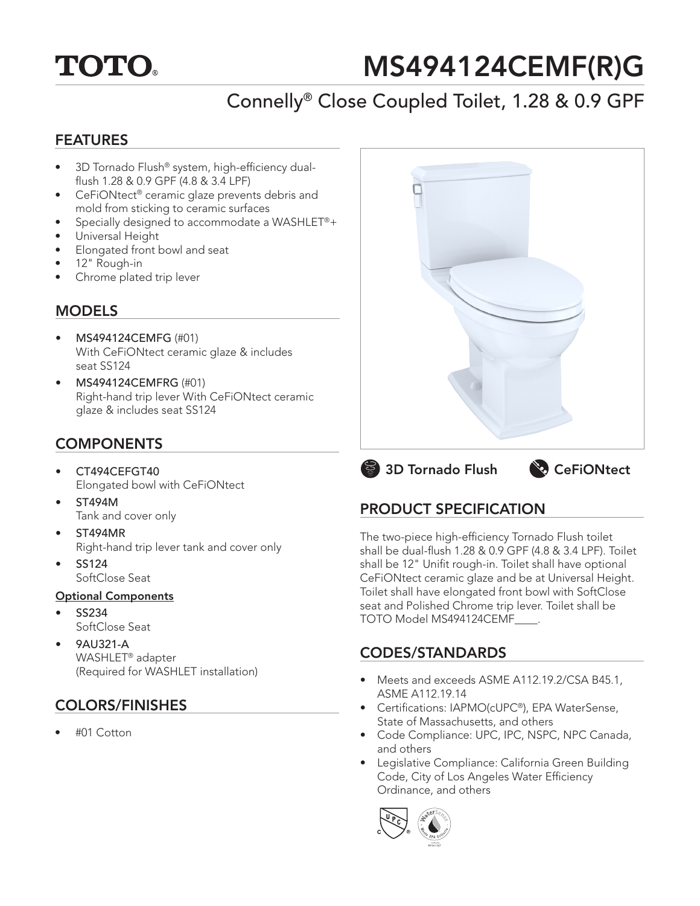# **TOTO.**

# MS494124CEMF(R)G

# Connelly® Close Coupled Toilet, 1.28 & 0.9 GPF

### FEATURES

- 3D Tornado Flush® system, high-efficiency dualflush 1.28 & 0.9 GPF (4.8 & 3.4 LPF)
- CeFiONtect® ceramic glaze prevents debris and mold from sticking to ceramic surfaces
- Specially designed to accommodate a WASHLET®+
- Universal Height
- Elongated front bowl and seat
- 12" Rough-in
- Chrome plated trip lever

### **MODELS**

- MS494124CEMFG (#01) With CeFiONtect ceramic glaze & includes seat SS124
- MS494124CEMFRG (#01) Right-hand trip lever With CeFiONtect ceramic glaze & includes seat SS124

# **COMPONENTS**

- CT494CEFGT40 Elongated bowl with CeFiONtect
- ST494M Tank and cover only
- ST494MR Right-hand trip lever tank and cover only
- SS124 SoftClose Seat

#### Optional Components

- SS234 SoftClose Seat
- 9AU321-A WASHLET® adapter (Required for WASHLET installation)

# COLORS/FINISHES

• #01 Cotton



**3D Tornado Flush CeFiONtect** 

# PRODUCT SPECIFICATION

The two-piece high-efficiency Tornado Flush toilet shall be dual-flush 1.28 & 0.9 GPF (4.8 & 3.4 LPF). Toilet shall be 12" Unifit rough-in. Toilet shall have optional CeFiONtect ceramic glaze and be at Universal Height. Toilet shall have elongated front bowl with SoftClose seat and Polished Chrome trip lever. Toilet shall be TOTO Model MS494124CEMF\_\_\_\_.

## CODES/STANDARDS

- Meets and exceeds ASME A112.19.2/CSA B45.1, ASME A112.19.14
- Certifications: IAPMO(cUPC®), EPA WaterSense, State of Massachusetts, and others
- Code Compliance: UPC, IPC, NSPC, NPC Canada, and others
- Legislative Compliance: California Green Building Code, City of Los Angeles Water Efficiency Ordinance, and others